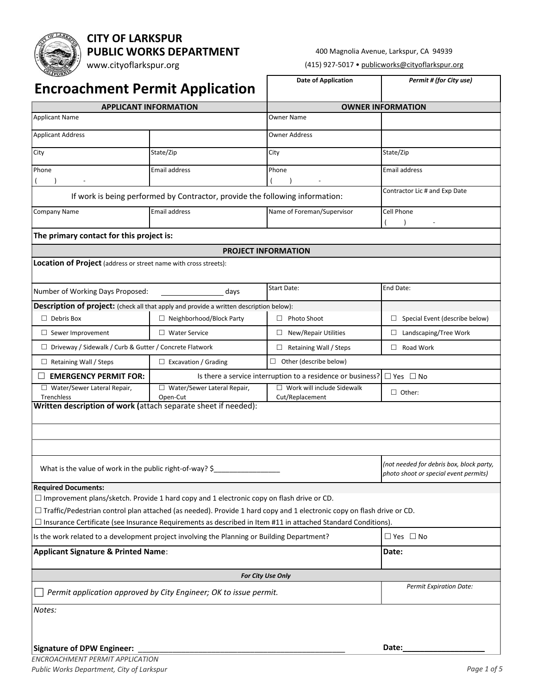# **CITY OF LARKSPUR PUBLIC WORKS DEPARTMENT**

www.cityoflarkspur.org

#### 400 Magnolia Avenue, Larkspur, CA 94939

(415) 927-5017 • publicworks@cityoflarkspur.org

| TEORS<br><b>Encroachment Permit Application</b>                                                                                                                                                                                                     |                                                                                         | <b>Date of Application</b>                                  | Permit # (for City use)                                                           |  |  |
|-----------------------------------------------------------------------------------------------------------------------------------------------------------------------------------------------------------------------------------------------------|-----------------------------------------------------------------------------------------|-------------------------------------------------------------|-----------------------------------------------------------------------------------|--|--|
|                                                                                                                                                                                                                                                     |                                                                                         |                                                             | <b>OWNER INFORMATION</b>                                                          |  |  |
| <b>APPLICANT INFORMATION</b><br>Applicant Name                                                                                                                                                                                                      |                                                                                         | Owner Name                                                  |                                                                                   |  |  |
| <b>Applicant Address</b>                                                                                                                                                                                                                            |                                                                                         | <b>Owner Address</b>                                        |                                                                                   |  |  |
| City                                                                                                                                                                                                                                                | State/Zip                                                                               | City                                                        | State/Zip                                                                         |  |  |
| Phone                                                                                                                                                                                                                                               | <b>Email address</b>                                                                    |                                                             | <b>Email address</b>                                                              |  |  |
| $\blacksquare$                                                                                                                                                                                                                                      |                                                                                         | Phone                                                       |                                                                                   |  |  |
|                                                                                                                                                                                                                                                     | If work is being performed by Contractor, provide the following information:            |                                                             | Contractor Lic # and Exp Date                                                     |  |  |
| Company Name                                                                                                                                                                                                                                        | <b>Email address</b>                                                                    | Name of Foreman/Supervisor                                  | Cell Phone                                                                        |  |  |
| The primary contact for this project is:                                                                                                                                                                                                            |                                                                                         |                                                             |                                                                                   |  |  |
|                                                                                                                                                                                                                                                     |                                                                                         | <b>PROJECT INFORMATION</b>                                  |                                                                                   |  |  |
| Location of Project (address or street name with cross streets):                                                                                                                                                                                    |                                                                                         |                                                             |                                                                                   |  |  |
|                                                                                                                                                                                                                                                     |                                                                                         |                                                             |                                                                                   |  |  |
| Number of Working Days Proposed:                                                                                                                                                                                                                    | days                                                                                    | <b>Start Date:</b>                                          | End Date:                                                                         |  |  |
|                                                                                                                                                                                                                                                     | Description of project: (check all that apply and provide a written description below): |                                                             |                                                                                   |  |  |
| $\Box$ Debris Box                                                                                                                                                                                                                                   | □ Neighborhood/Block Party                                                              | Photo Shoot                                                 | $\Box$ Special Event (describe below)                                             |  |  |
| $\Box$ Sewer Improvement                                                                                                                                                                                                                            | $\Box$ Water Service                                                                    | $\Box$ New/Repair Utilities                                 | $\Box$ Landscaping/Tree Work                                                      |  |  |
| □ Driveway / Sidewalk / Curb & Gutter / Concrete Flatwork                                                                                                                                                                                           |                                                                                         | $\Box$ Retaining Wall / Steps                               | $\Box$ Road Work                                                                  |  |  |
| $\Box$ Retaining Wall / Steps                                                                                                                                                                                                                       | $\Box$ Excavation / Grading                                                             | $\Box$ Other (describe below)                               |                                                                                   |  |  |
| $\Box$ EMERGENCY PERMIT FOR:                                                                                                                                                                                                                        |                                                                                         | Is there a service interruption to a residence or business? | $\Box$ Yes $\Box$ No                                                              |  |  |
| □ Water/Sewer Lateral Repair,<br>Trenchless                                                                                                                                                                                                         | □ Water/Sewer Lateral Repair,<br>Open-Cut                                               | $\Box$ Work will include Sidewalk<br>Cut/Replacement        | $\Box$ Other:                                                                     |  |  |
| Written description of work (attach separate sheet if needed):                                                                                                                                                                                      |                                                                                         |                                                             |                                                                                   |  |  |
|                                                                                                                                                                                                                                                     |                                                                                         |                                                             |                                                                                   |  |  |
|                                                                                                                                                                                                                                                     |                                                                                         |                                                             |                                                                                   |  |  |
|                                                                                                                                                                                                                                                     |                                                                                         |                                                             |                                                                                   |  |  |
| What is the value of work in the public right-of-way? \$_                                                                                                                                                                                           |                                                                                         |                                                             | (not needed for debris box, block party,<br>photo shoot or special event permits) |  |  |
| <b>Required Documents:</b>                                                                                                                                                                                                                          |                                                                                         |                                                             |                                                                                   |  |  |
| $\Box$ Improvement plans/sketch. Provide 1 hard copy and 1 electronic copy on flash drive or CD.                                                                                                                                                    |                                                                                         |                                                             |                                                                                   |  |  |
| $\Box$ Traffic/Pedestrian control plan attached (as needed). Provide 1 hard copy and 1 electronic copy on flash drive or CD.<br>$\Box$ Insurance Certificate (see Insurance Requirements as described in Item #11 in attached Standard Conditions). |                                                                                         |                                                             |                                                                                   |  |  |
| Is the work related to a development project involving the Planning or Building Department?                                                                                                                                                         |                                                                                         |                                                             | $\Box$ Yes $\Box$ No                                                              |  |  |
| <b>Applicant Signature &amp; Printed Name:</b>                                                                                                                                                                                                      |                                                                                         |                                                             | Date:                                                                             |  |  |
|                                                                                                                                                                                                                                                     |                                                                                         |                                                             |                                                                                   |  |  |
|                                                                                                                                                                                                                                                     |                                                                                         | <b>For City Use Only</b>                                    | <b>Permit Expiration Date:</b>                                                    |  |  |
| Permit application approved by City Engineer; OK to issue permit.                                                                                                                                                                                   |                                                                                         |                                                             |                                                                                   |  |  |
| Notes:                                                                                                                                                                                                                                              |                                                                                         |                                                             |                                                                                   |  |  |
|                                                                                                                                                                                                                                                     |                                                                                         |                                                             |                                                                                   |  |  |
| <b>Signature of DPW Engineer:</b>                                                                                                                                                                                                                   |                                                                                         |                                                             | Date:                                                                             |  |  |
|                                                                                                                                                                                                                                                     |                                                                                         |                                                             |                                                                                   |  |  |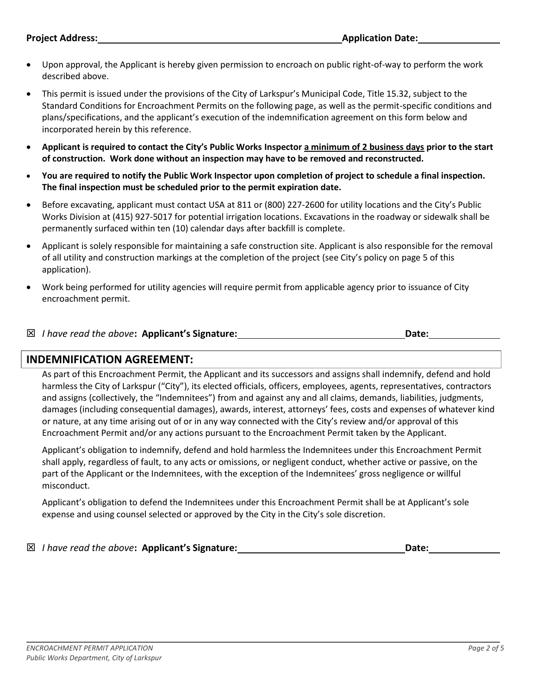- Upon approval, the Applicant is hereby given permission to encroach on public right-of-way to perform the work described above.
- This permit is issued under the provisions of the City of Larkspur's Municipal Code, Title 15.32, subject to the Standard Conditions for Encroachment Permits on the following page, as well as the permit-specific conditions and plans/specifications, and the applicant's execution of the indemnification agreement on this form below and incorporated herein by this reference.
- **Applicant is required to contact the City's Public Works Inspector a minimum of 2 business days prior to the start of construction. Work done without an inspection may have to be removed and reconstructed.**
- **You are required to notify the Public Work Inspector upon completion of project to schedule a final inspection. The final inspection must be scheduled prior to the permit expiration date.**
- Before excavating, applicant must contact USA at 811 or (800) 227-2600 for utility locations and the City's Public Works Division at (415) 927-5017 for potential irrigation locations. Excavations in the roadway or sidewalk shall be permanently surfaced within ten (10) calendar days after backfill is complete.
- Applicant is solely responsible for maintaining a safe construction site. Applicant is also responsible for the removal of all utility and construction markings at the completion of the project (see City's policy on page 5 of this application).
- Work being performed for utility agencies will require permit from applicable agency prior to issuance of City encroachment permit.

| $\boxtimes$ I have read the above: Applicant's Signature: | Date: |  |
|-----------------------------------------------------------|-------|--|
|                                                           |       |  |

### **INDEMNIFICATION AGREEMENT:**

As part of this Encroachment Permit, the Applicant and its successors and assigns shall indemnify, defend and hold harmless the City of Larkspur ("City"), its elected officials, officers, employees, agents, representatives, contractors and assigns (collectively, the "Indemnitees") from and against any and all claims, demands, liabilities, judgments, damages (including consequential damages), awards, interest, attorneys' fees, costs and expenses of whatever kind or nature, at any time arising out of or in any way connected with the City's review and/or approval of this Encroachment Permit and/or any actions pursuant to the Encroachment Permit taken by the Applicant.

Applicant's obligation to indemnify, defend and hold harmless the Indemnitees under this Encroachment Permit shall apply, regardless of fault, to any acts or omissions, or negligent conduct, whether active or passive, on the part of the Applicant or the Indemnitees, with the exception of the Indemnitees' gross negligence or willful misconduct.

Applicant's obligation to defend the Indemnitees under this Encroachment Permit shall be at Applicant's sole expense and using counsel selected or approved by the City in the City's sole discretion.

#### **I have read the above: Applicant's Signature:** *Date: Date:* **Date: Date: Date:**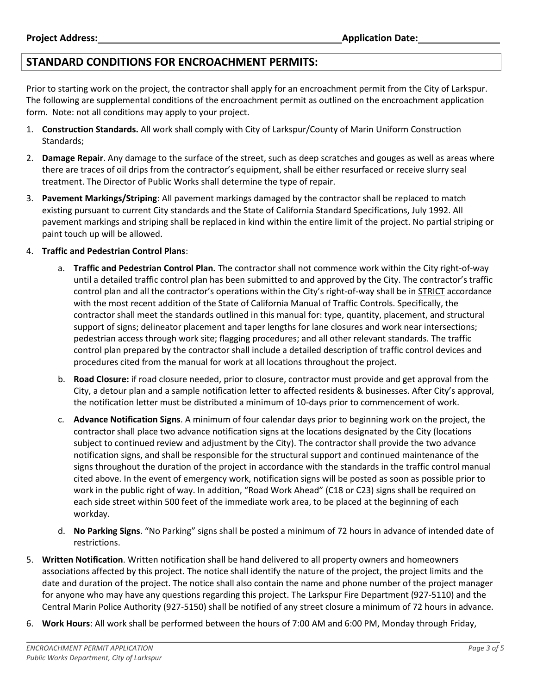### **STANDARD CONDITIONS FOR ENCROACHMENT PERMITS:**

Prior to starting work on the project, the contractor shall apply for an encroachment permit from the City of Larkspur. The following are supplemental conditions of the encroachment permit as outlined on the encroachment application form. Note: not all conditions may apply to your project.

- 1. **Construction Standards.** All work shall comply with City of Larkspur/County of Marin Uniform Construction Standards;
- 2. **Damage Repair**. Any damage to the surface of the street, such as deep scratches and gouges as well as areas where there are traces of oil drips from the contractor's equipment, shall be either resurfaced or receive slurry seal treatment. The Director of Public Works shall determine the type of repair.
- 3. **Pavement Markings/Striping**: All pavement markings damaged by the contractor shall be replaced to match existing pursuant to current City standards and the State of California Standard Specifications, July 1992. All pavement markings and striping shall be replaced in kind within the entire limit of the project. No partial striping or paint touch up will be allowed.

#### 4. **Traffic and Pedestrian Control Plans**:

- a. **Traffic and Pedestrian Control Plan.** The contractor shall not commence work within the City right-of-way until a detailed traffic control plan has been submitted to and approved by the City. The contractor's traffic control plan and all the contractor's operations within the City's right-of-way shall be in STRICT accordance with the most recent addition of the State of California Manual of Traffic Controls. Specifically, the contractor shall meet the standards outlined in this manual for: type, quantity, placement, and structural support of signs; delineator placement and taper lengths for lane closures and work near intersections; pedestrian access through work site; flagging procedures; and all other relevant standards. The traffic control plan prepared by the contractor shall include a detailed description of traffic control devices and procedures cited from the manual for work at all locations throughout the project.
- b. **Road Closure:** if road closure needed, prior to closure, contractor must provide and get approval from the City, a detour plan and a sample notification letter to affected residents & businesses. After City's approval, the notification letter must be distributed a minimum of 10-days prior to commencement of work.
- c. **Advance Notification Signs**. A minimum of four calendar days prior to beginning work on the project, the contractor shall place two advance notification signs at the locations designated by the City (locations subject to continued review and adjustment by the City). The contractor shall provide the two advance notification signs, and shall be responsible for the structural support and continued maintenance of the signs throughout the duration of the project in accordance with the standards in the traffic control manual cited above. In the event of emergency work, notification signs will be posted as soon as possible prior to work in the public right of way. In addition, "Road Work Ahead" (C18 or C23) signs shall be required on each side street within 500 feet of the immediate work area, to be placed at the beginning of each workday.
- d. **No Parking Signs**. "No Parking" signs shall be posted a minimum of 72 hours in advance of intended date of restrictions.
- 5. **Written Notification**. Written notification shall be hand delivered to all property owners and homeowners associations affected by this project. The notice shall identify the nature of the project, the project limits and the date and duration of the project. The notice shall also contain the name and phone number of the project manager for anyone who may have any questions regarding this project. The Larkspur Fire Department (927-5110) and the Central Marin Police Authority (927-5150) shall be notified of any street closure a minimum of 72 hours in advance.
- 6. **Work Hours**: All work shall be performed between the hours of 7:00 AM and 6:00 PM, Monday through Friday,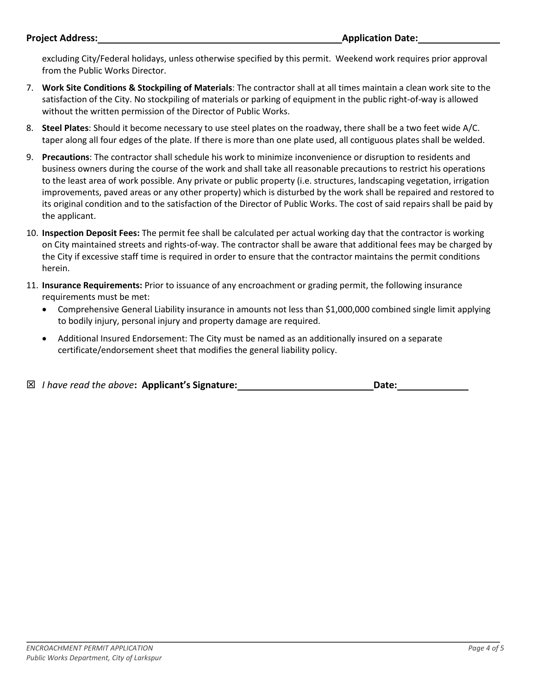excluding City/Federal holidays, unless otherwise specified by this permit. Weekend work requires prior approval from the Public Works Director.

- 7. **Work Site Conditions & Stockpiling of Materials**: The contractor shall at all times maintain a clean work site to the satisfaction of the City. No stockpiling of materials or parking of equipment in the public right-of-way is allowed without the written permission of the Director of Public Works.
- 8. **Steel Plates**: Should it become necessary to use steel plates on the roadway, there shall be a two feet wide A/C. taper along all four edges of the plate. If there is more than one plate used, all contiguous plates shall be welded.
- 9. **Precautions**: The contractor shall schedule his work to minimize inconvenience or disruption to residents and business owners during the course of the work and shall take all reasonable precautions to restrict his operations to the least area of work possible. Any private or public property (i.e. structures, landscaping vegetation, irrigation improvements, paved areas or any other property) which is disturbed by the work shall be repaired and restored to its original condition and to the satisfaction of the Director of Public Works. The cost of said repairs shall be paid by the applicant.
- 10. **Inspection Deposit Fees:** The permit fee shall be calculated per actual working day that the contractor is working on City maintained streets and rights-of-way. The contractor shall be aware that additional fees may be charged by the City if excessive staff time is required in order to ensure that the contractor maintains the permit conditions herein.
- 11. **Insurance Requirements:** Prior to issuance of any encroachment or grading permit, the following insurance requirements must be met:
	- Comprehensive General Liability insurance in amounts not less than \$1,000,000 combined single limit applying to bodily injury, personal injury and property damage are required.
	- Additional Insured Endorsement: The City must be named as an additionally insured on a separate certificate/endorsement sheet that modifies the general liability policy.

|  | ⊠ I have read the above: Applicant's Signature: | Date: |
|--|-------------------------------------------------|-------|
|  |                                                 |       |